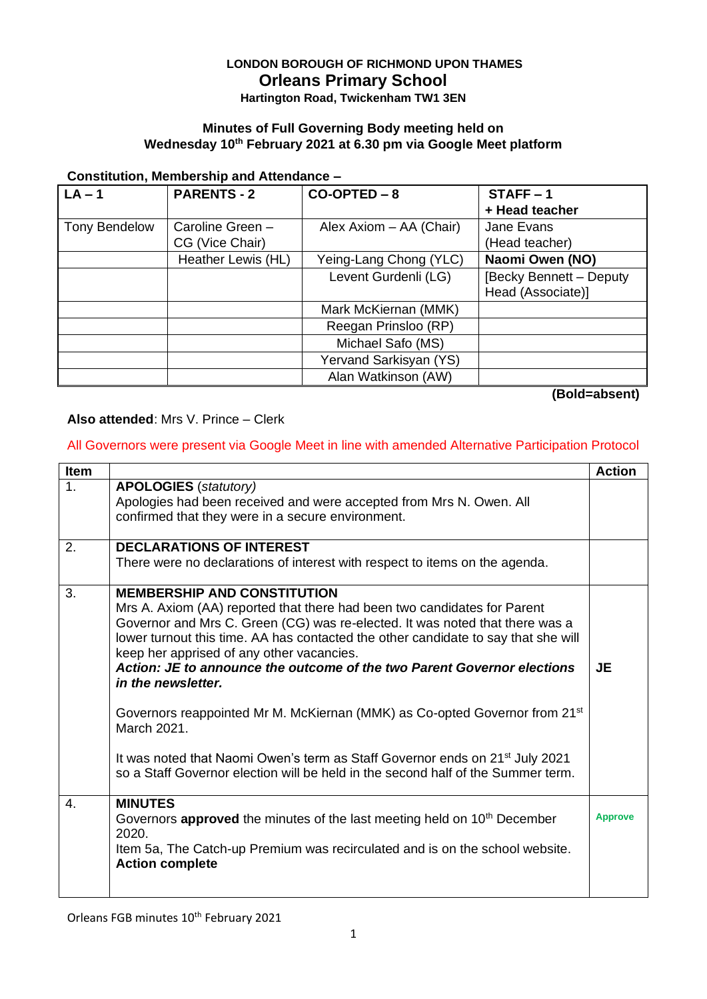# **LONDON BOROUGH OF RICHMOND UPON THAMES Orleans Primary School**

**Hartington Road, Twickenham TW1 3EN**

#### **Minutes of Full Governing Body meeting held on Wednesday 10th February 2021 at 6.30 pm via Google Meet platform**

#### **Constitution, Membership and Attendance –**

| $LA - 1$             | <b>PARENTS - 2</b> | $CO-OPTED - 8$          | $STATE - 1$             |
|----------------------|--------------------|-------------------------|-------------------------|
|                      |                    |                         | + Head teacher          |
| <b>Tony Bendelow</b> | Caroline Green -   | Alex Axiom - AA (Chair) | Jane Evans              |
|                      | CG (Vice Chair)    |                         | (Head teacher)          |
|                      | Heather Lewis (HL) | Yeing-Lang Chong (YLC)  | Naomi Owen (NO)         |
|                      |                    | Levent Gurdenli (LG)    | [Becky Bennett - Deputy |
|                      |                    |                         | Head (Associate)]       |
|                      |                    | Mark McKiernan (MMK)    |                         |
|                      |                    | Reegan Prinsloo (RP)    |                         |
|                      |                    | Michael Safo (MS)       |                         |
|                      |                    | Yervand Sarkisyan (YS)  |                         |
|                      |                    | Alan Watkinson (AW)     |                         |

**(Bold=absent)**

#### **Also attended**: Mrs V. Prince – Clerk

#### All Governors were present via Google Meet in line with amended Alternative Participation Protocol

| <b>Item</b>    |                                                                                                                                                                                                                                                                                                                                                                                                                                                                                                                                                                                                                                                                                                                             | <b>Action</b>  |
|----------------|-----------------------------------------------------------------------------------------------------------------------------------------------------------------------------------------------------------------------------------------------------------------------------------------------------------------------------------------------------------------------------------------------------------------------------------------------------------------------------------------------------------------------------------------------------------------------------------------------------------------------------------------------------------------------------------------------------------------------------|----------------|
| 1.             | <b>APOLOGIES</b> (statutory)<br>Apologies had been received and were accepted from Mrs N. Owen. All<br>confirmed that they were in a secure environment.                                                                                                                                                                                                                                                                                                                                                                                                                                                                                                                                                                    |                |
| 2.             | <b>DECLARATIONS OF INTEREST</b><br>There were no declarations of interest with respect to items on the agenda.                                                                                                                                                                                                                                                                                                                                                                                                                                                                                                                                                                                                              |                |
| 3.             | <b>MEMBERSHIP AND CONSTITUTION</b><br>Mrs A. Axiom (AA) reported that there had been two candidates for Parent<br>Governor and Mrs C. Green (CG) was re-elected. It was noted that there was a<br>lower turnout this time. AA has contacted the other candidate to say that she will<br>keep her apprised of any other vacancies.<br>Action: JE to announce the outcome of the two Parent Governor elections<br>in the newsletter.<br>Governors reappointed Mr M. McKiernan (MMK) as Co-opted Governor from 21 <sup>st</sup><br>March 2021.<br>It was noted that Naomi Owen's term as Staff Governor ends on 21 <sup>st</sup> July 2021<br>so a Staff Governor election will be held in the second half of the Summer term. | JE             |
| $\mathbf{4}$ . | <b>MINUTES</b><br>Governors approved the minutes of the last meeting held on 10 <sup>th</sup> December<br>2020.<br>Item 5a, The Catch-up Premium was recirculated and is on the school website.<br><b>Action complete</b>                                                                                                                                                                                                                                                                                                                                                                                                                                                                                                   | <b>Approve</b> |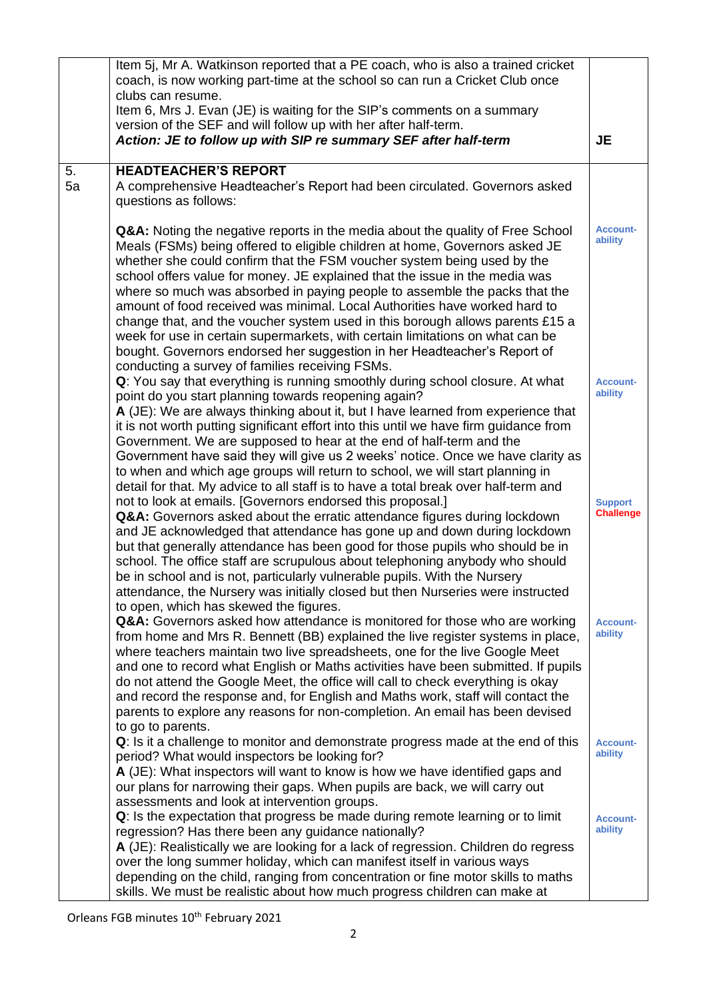|    | Item 5j, Mr A. Watkinson reported that a PE coach, who is also a trained cricket                                                                                 |                                    |
|----|------------------------------------------------------------------------------------------------------------------------------------------------------------------|------------------------------------|
|    | coach, is now working part-time at the school so can run a Cricket Club once                                                                                     |                                    |
|    | clubs can resume.                                                                                                                                                |                                    |
|    | Item 6, Mrs J. Evan (JE) is waiting for the SIP's comments on a summary                                                                                          |                                    |
|    | version of the SEF and will follow up with her after half-term.                                                                                                  |                                    |
|    | Action: JE to follow up with SIP re summary SEF after half-term                                                                                                  | <b>JE</b>                          |
| 5. | <b>HEADTEACHER'S REPORT</b>                                                                                                                                      |                                    |
| 5a | A comprehensive Headteacher's Report had been circulated. Governors asked                                                                                        |                                    |
|    | questions as follows:                                                                                                                                            |                                    |
|    |                                                                                                                                                                  |                                    |
|    | Q&A: Noting the negative reports in the media about the quality of Free School                                                                                   | <b>Account-</b>                    |
|    | Meals (FSMs) being offered to eligible children at home, Governors asked JE                                                                                      | ability                            |
|    | whether she could confirm that the FSM voucher system being used by the                                                                                          |                                    |
|    | school offers value for money. JE explained that the issue in the media was                                                                                      |                                    |
|    | where so much was absorbed in paying people to assemble the packs that the                                                                                       |                                    |
|    | amount of food received was minimal. Local Authorities have worked hard to                                                                                       |                                    |
|    | change that, and the voucher system used in this borough allows parents £15 a<br>week for use in certain supermarkets, with certain limitations on what can be   |                                    |
|    | bought. Governors endorsed her suggestion in her Headteacher's Report of                                                                                         |                                    |
|    | conducting a survey of families receiving FSMs.                                                                                                                  |                                    |
|    | Q: You say that everything is running smoothly during school closure. At what                                                                                    | <b>Account-</b>                    |
|    | point do you start planning towards reopening again?                                                                                                             | ability                            |
|    | A (JE): We are always thinking about it, but I have learned from experience that                                                                                 |                                    |
|    | it is not worth putting significant effort into this until we have firm guidance from                                                                            |                                    |
|    | Government. We are supposed to hear at the end of half-term and the                                                                                              |                                    |
|    | Government have said they will give us 2 weeks' notice. Once we have clarity as                                                                                  |                                    |
|    | to when and which age groups will return to school, we will start planning in                                                                                    |                                    |
|    | detail for that. My advice to all staff is to have a total break over half-term and<br>not to look at emails. [Governors endorsed this proposal.]                |                                    |
|    | Q&A: Governors asked about the erratic attendance figures during lockdown                                                                                        | <b>Support</b><br><b>Challenge</b> |
|    | and JE acknowledged that attendance has gone up and down during lockdown                                                                                         |                                    |
|    | but that generally attendance has been good for those pupils who should be in                                                                                    |                                    |
|    | school. The office staff are scrupulous about telephoning anybody who should                                                                                     |                                    |
|    | be in school and is not, particularly vulnerable pupils. With the Nursery                                                                                        |                                    |
|    | attendance, the Nursery was initially closed but then Nurseries were instructed                                                                                  |                                    |
|    | to open, which has skewed the figures.                                                                                                                           |                                    |
|    | Q&A: Governors asked how attendance is monitored for those who are working                                                                                       | <b>Account-</b><br>ability         |
|    | from home and Mrs R. Bennett (BB) explained the live register systems in place,                                                                                  |                                    |
|    | where teachers maintain two live spreadsheets, one for the live Google Meet<br>and one to record what English or Maths activities have been submitted. If pupils |                                    |
|    | do not attend the Google Meet, the office will call to check everything is okay                                                                                  |                                    |
|    | and record the response and, for English and Maths work, staff will contact the                                                                                  |                                    |
|    | parents to explore any reasons for non-completion. An email has been devised                                                                                     |                                    |
|    | to go to parents.                                                                                                                                                |                                    |
|    | Q: Is it a challenge to monitor and demonstrate progress made at the end of this                                                                                 | <b>Account-</b>                    |
|    | period? What would inspectors be looking for?                                                                                                                    | ability                            |
|    | A (JE): What inspectors will want to know is how we have identified gaps and                                                                                     |                                    |
|    | our plans for narrowing their gaps. When pupils are back, we will carry out                                                                                      |                                    |
|    | assessments and look at intervention groups.                                                                                                                     |                                    |
|    | Q: Is the expectation that progress be made during remote learning or to limit<br>regression? Has there been any guidance nationally?                            | <b>Account-</b><br>ability         |
|    | A (JE): Realistically we are looking for a lack of regression. Children do regress                                                                               |                                    |
|    | over the long summer holiday, which can manifest itself in various ways                                                                                          |                                    |
|    | depending on the child, ranging from concentration or fine motor skills to maths                                                                                 |                                    |
|    | skills. We must be realistic about how much progress children can make at                                                                                        |                                    |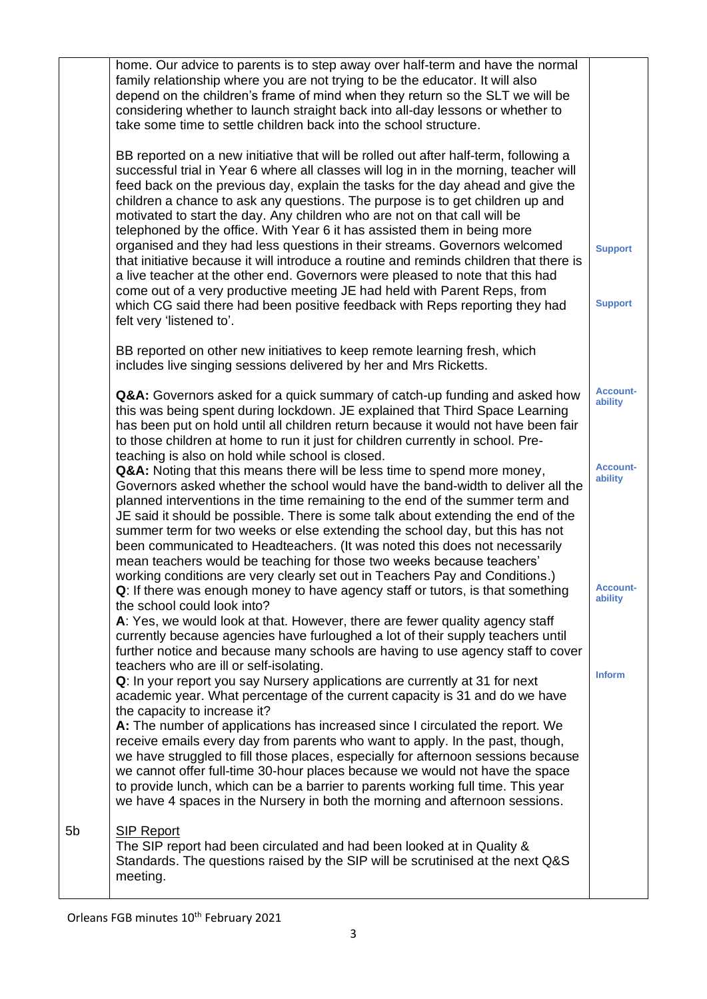|    | home. Our advice to parents is to step away over half-term and have the normal<br>family relationship where you are not trying to be the educator. It will also<br>depend on the children's frame of mind when they return so the SLT we will be<br>considering whether to launch straight back into all-day lessons or whether to<br>take some time to settle children back into the school structure.                                                                                                                                                                                                                                                                                                                                                                                                                                                                                                                                                    |                                  |
|----|------------------------------------------------------------------------------------------------------------------------------------------------------------------------------------------------------------------------------------------------------------------------------------------------------------------------------------------------------------------------------------------------------------------------------------------------------------------------------------------------------------------------------------------------------------------------------------------------------------------------------------------------------------------------------------------------------------------------------------------------------------------------------------------------------------------------------------------------------------------------------------------------------------------------------------------------------------|----------------------------------|
|    | BB reported on a new initiative that will be rolled out after half-term, following a<br>successful trial in Year 6 where all classes will log in in the morning, teacher will<br>feed back on the previous day, explain the tasks for the day ahead and give the<br>children a chance to ask any questions. The purpose is to get children up and<br>motivated to start the day. Any children who are not on that call will be<br>telephoned by the office. With Year 6 it has assisted them in being more<br>organised and they had less questions in their streams. Governors welcomed<br>that initiative because it will introduce a routine and reminds children that there is<br>a live teacher at the other end. Governors were pleased to note that this had<br>come out of a very productive meeting JE had held with Parent Reps, from<br>which CG said there had been positive feedback with Reps reporting they had<br>felt very 'listened to'. | <b>Support</b><br><b>Support</b> |
|    | BB reported on other new initiatives to keep remote learning fresh, which<br>includes live singing sessions delivered by her and Mrs Ricketts.                                                                                                                                                                                                                                                                                                                                                                                                                                                                                                                                                                                                                                                                                                                                                                                                             |                                  |
|    | Q&A: Governors asked for a quick summary of catch-up funding and asked how<br>this was being spent during lockdown. JE explained that Third Space Learning<br>has been put on hold until all children return because it would not have been fair<br>to those children at home to run it just for children currently in school. Pre-<br>teaching is also on hold while school is closed.                                                                                                                                                                                                                                                                                                                                                                                                                                                                                                                                                                    | <b>Account-</b><br>ability       |
|    | Q&A: Noting that this means there will be less time to spend more money,<br>Governors asked whether the school would have the band-width to deliver all the<br>planned interventions in the time remaining to the end of the summer term and<br>JE said it should be possible. There is some talk about extending the end of the<br>summer term for two weeks or else extending the school day, but this has not<br>been communicated to Headteachers. (It was noted this does not necessarily<br>mean teachers would be teaching for those two weeks because teachers'<br>working conditions are very clearly set out in Teachers Pay and Conditions.)                                                                                                                                                                                                                                                                                                    | <b>Account-</b><br>ability       |
|    | Q: If there was enough money to have agency staff or tutors, is that something<br>the school could look into?<br>A: Yes, we would look at that. However, there are fewer quality agency staff<br>currently because agencies have furloughed a lot of their supply teachers until<br>further notice and because many schools are having to use agency staff to cover                                                                                                                                                                                                                                                                                                                                                                                                                                                                                                                                                                                        | <b>ACCOUNT-</b><br>ability       |
|    | teachers who are ill or self-isolating.<br>Q: In your report you say Nursery applications are currently at 31 for next<br>academic year. What percentage of the current capacity is 31 and do we have<br>the capacity to increase it?<br>A: The number of applications has increased since I circulated the report. We<br>receive emails every day from parents who want to apply. In the past, though,                                                                                                                                                                                                                                                                                                                                                                                                                                                                                                                                                    | <b>Inform</b>                    |
|    | we have struggled to fill those places, especially for afternoon sessions because<br>we cannot offer full-time 30-hour places because we would not have the space<br>to provide lunch, which can be a barrier to parents working full time. This year<br>we have 4 spaces in the Nursery in both the morning and afternoon sessions.                                                                                                                                                                                                                                                                                                                                                                                                                                                                                                                                                                                                                       |                                  |
| 5b | <b>SIP Report</b><br>The SIP report had been circulated and had been looked at in Quality &<br>Standards. The questions raised by the SIP will be scrutinised at the next Q&S<br>meeting.                                                                                                                                                                                                                                                                                                                                                                                                                                                                                                                                                                                                                                                                                                                                                                  |                                  |

Orleans FGB minutes 10<sup>th</sup> February 2021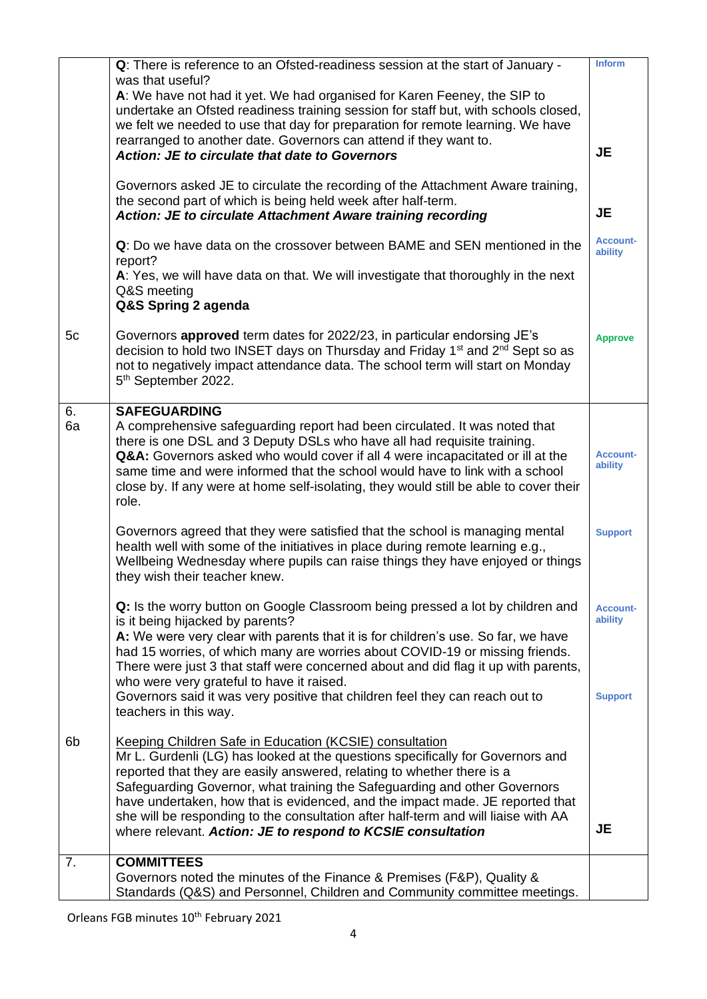|          | Q: There is reference to an Ofsted-readiness session at the start of January -<br>was that useful?                                                                                                                                                                                                                                                                                                                                                                                                                                     | <b>Inform</b>                                |
|----------|----------------------------------------------------------------------------------------------------------------------------------------------------------------------------------------------------------------------------------------------------------------------------------------------------------------------------------------------------------------------------------------------------------------------------------------------------------------------------------------------------------------------------------------|----------------------------------------------|
|          | A: We have not had it yet. We had organised for Karen Feeney, the SIP to<br>undertake an Ofsted readiness training session for staff but, with schools closed,<br>we felt we needed to use that day for preparation for remote learning. We have                                                                                                                                                                                                                                                                                       |                                              |
|          | rearranged to another date. Governors can attend if they want to.<br><b>Action: JE to circulate that date to Governors</b>                                                                                                                                                                                                                                                                                                                                                                                                             | <b>JE</b>                                    |
|          | Governors asked JE to circulate the recording of the Attachment Aware training,<br>the second part of which is being held week after half-term.<br><b>Action: JE to circulate Attachment Aware training recording</b>                                                                                                                                                                                                                                                                                                                  | <b>JE</b>                                    |
|          | Q: Do we have data on the crossover between BAME and SEN mentioned in the<br>report?                                                                                                                                                                                                                                                                                                                                                                                                                                                   | <b>Account-</b><br>ability                   |
|          | A: Yes, we will have data on that. We will investigate that thoroughly in the next<br>Q&S meeting<br>Q&S Spring 2 agenda                                                                                                                                                                                                                                                                                                                                                                                                               |                                              |
| 5c       | Governors approved term dates for 2022/23, in particular endorsing JE's<br>decision to hold two INSET days on Thursday and Friday 1 <sup>st</sup> and 2 <sup>nd</sup> Sept so as<br>not to negatively impact attendance data. The school term will start on Monday<br>5th September 2022.                                                                                                                                                                                                                                              | <b>Approve</b>                               |
| 6.<br>6a | <b>SAFEGUARDING</b><br>A comprehensive safeguarding report had been circulated. It was noted that<br>there is one DSL and 3 Deputy DSLs who have all had requisite training.<br>Q&A: Governors asked who would cover if all 4 were incapacitated or ill at the<br>same time and were informed that the school would have to link with a school<br>close by. If any were at home self-isolating, they would still be able to cover their<br>role.                                                                                       | <b>Account-</b><br>ability                   |
|          | Governors agreed that they were satisfied that the school is managing mental<br>health well with some of the initiatives in place during remote learning e.g.,<br>Wellbeing Wednesday where pupils can raise things they have enjoyed or things<br>they wish their teacher knew.                                                                                                                                                                                                                                                       | <b>Support</b>                               |
|          | Q: Is the worry button on Google Classroom being pressed a lot by children and<br>is it being hijacked by parents?<br>A: We were very clear with parents that it is for children's use. So far, we have<br>had 15 worries, of which many are worries about COVID-19 or missing friends.<br>There were just 3 that staff were concerned about and did flag it up with parents,<br>who were very grateful to have it raised.<br>Governors said it was very positive that children feel they can reach out to                             | <b>Account-</b><br>ability<br><b>Support</b> |
|          | teachers in this way.                                                                                                                                                                                                                                                                                                                                                                                                                                                                                                                  |                                              |
| 6b       | Keeping Children Safe in Education (KCSIE) consultation<br>Mr L. Gurdenli (LG) has looked at the questions specifically for Governors and<br>reported that they are easily answered, relating to whether there is a<br>Safeguarding Governor, what training the Safeguarding and other Governors<br>have undertaken, how that is evidenced, and the impact made. JE reported that<br>she will be responding to the consultation after half-term and will liaise with AA<br>where relevant. Action: JE to respond to KCSIE consultation | <b>JE</b>                                    |
| 7.       | <b>COMMITTEES</b>                                                                                                                                                                                                                                                                                                                                                                                                                                                                                                                      |                                              |
|          | Governors noted the minutes of the Finance & Premises (F&P), Quality &<br>Standards (Q&S) and Personnel, Children and Community committee meetings.                                                                                                                                                                                                                                                                                                                                                                                    |                                              |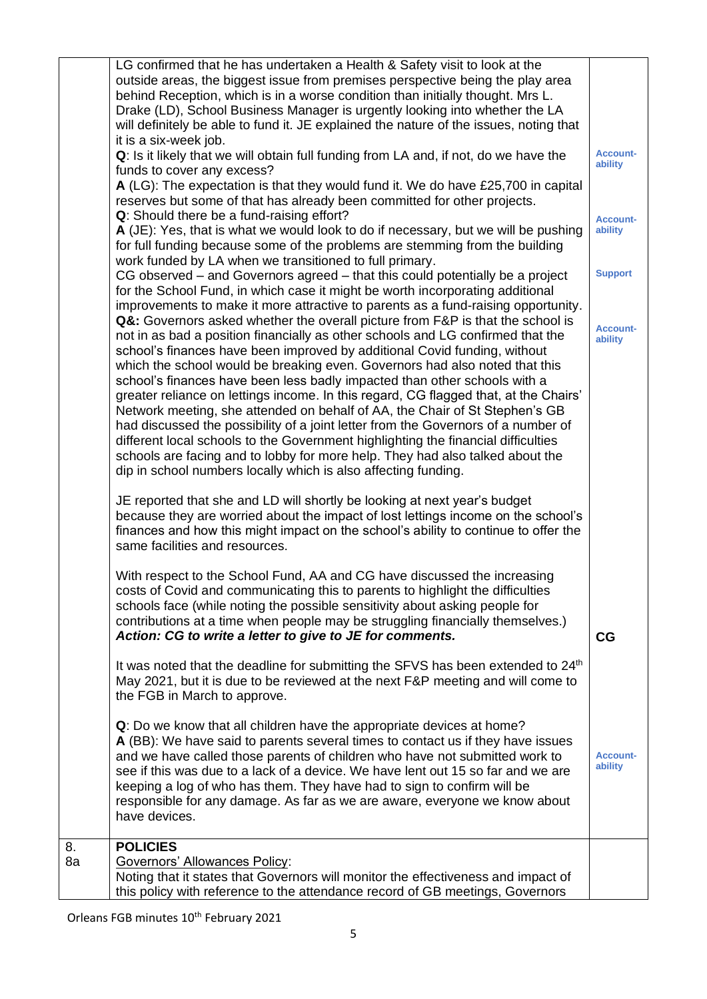|          | LG confirmed that he has undertaken a Health & Safety visit to look at the<br>outside areas, the biggest issue from premises perspective being the play area<br>behind Reception, which is in a worse condition than initially thought. Mrs L.<br>Drake (LD), School Business Manager is urgently looking into whether the LA<br>will definitely be able to fund it. JE explained the nature of the issues, noting that<br>it is a six-week job.<br>Q: Is it likely that we will obtain full funding from LA and, if not, do we have the<br>funds to cover any excess?<br>A (LG): The expectation is that they would fund it. We do have £25,700 in capital<br>reserves but some of that has already been committed for other projects.<br>Q: Should there be a fund-raising effort?<br>A (JE): Yes, that is what we would look to do if necessary, but we will be pushing<br>for full funding because some of the problems are stemming from the building<br>work funded by LA when we transitioned to full primary.<br>CG observed – and Governors agreed – that this could potentially be a project<br>for the School Fund, in which case it might be worth incorporating additional<br>improvements to make it more attractive to parents as a fund-raising opportunity.<br>Q&: Governors asked whether the overall picture from F&P is that the school is<br>not in as bad a position financially as other schools and LG confirmed that the<br>school's finances have been improved by additional Covid funding, without<br>which the school would be breaking even. Governors had also noted that this<br>school's finances have been less badly impacted than other schools with a<br>greater reliance on lettings income. In this regard, CG flagged that, at the Chairs'<br>Network meeting, she attended on behalf of AA, the Chair of St Stephen's GB<br>had discussed the possibility of a joint letter from the Governors of a number of<br>different local schools to the Government highlighting the financial difficulties<br>schools are facing and to lobby for more help. They had also talked about the<br>dip in school numbers locally which is also affecting funding. | <b>Account-</b><br>ability<br><b>Account-</b><br>ability<br><b>Support</b><br><b>Account-</b><br>ability |
|----------|------------------------------------------------------------------------------------------------------------------------------------------------------------------------------------------------------------------------------------------------------------------------------------------------------------------------------------------------------------------------------------------------------------------------------------------------------------------------------------------------------------------------------------------------------------------------------------------------------------------------------------------------------------------------------------------------------------------------------------------------------------------------------------------------------------------------------------------------------------------------------------------------------------------------------------------------------------------------------------------------------------------------------------------------------------------------------------------------------------------------------------------------------------------------------------------------------------------------------------------------------------------------------------------------------------------------------------------------------------------------------------------------------------------------------------------------------------------------------------------------------------------------------------------------------------------------------------------------------------------------------------------------------------------------------------------------------------------------------------------------------------------------------------------------------------------------------------------------------------------------------------------------------------------------------------------------------------------------------------------------------------------------------------------------------------------------------------------------------------------------------------------------------------------------------------------------|----------------------------------------------------------------------------------------------------------|
|          | JE reported that she and LD will shortly be looking at next year's budget<br>because they are worried about the impact of lost lettings income on the school's<br>finances and how this might impact on the school's ability to continue to offer the<br>same facilities and resources.                                                                                                                                                                                                                                                                                                                                                                                                                                                                                                                                                                                                                                                                                                                                                                                                                                                                                                                                                                                                                                                                                                                                                                                                                                                                                                                                                                                                                                                                                                                                                                                                                                                                                                                                                                                                                                                                                                        |                                                                                                          |
|          | With respect to the School Fund, AA and CG have discussed the increasing<br>costs of Covid and communicating this to parents to highlight the difficulties<br>schools face (while noting the possible sensitivity about asking people for<br>contributions at a time when people may be struggling financially themselves.)<br>Action: CG to write a letter to give to JE for comments.<br>It was noted that the deadline for submitting the SFVS has been extended to 24 <sup>th</sup><br>May 2021, but it is due to be reviewed at the next F&P meeting and will come to<br>the FGB in March to approve.                                                                                                                                                                                                                                                                                                                                                                                                                                                                                                                                                                                                                                                                                                                                                                                                                                                                                                                                                                                                                                                                                                                                                                                                                                                                                                                                                                                                                                                                                                                                                                                     | CG                                                                                                       |
|          | Q: Do we know that all children have the appropriate devices at home?<br>A (BB): We have said to parents several times to contact us if they have issues<br>and we have called those parents of children who have not submitted work to<br>see if this was due to a lack of a device. We have lent out 15 so far and we are<br>keeping a log of who has them. They have had to sign to confirm will be<br>responsible for any damage. As far as we are aware, everyone we know about<br>have devices.                                                                                                                                                                                                                                                                                                                                                                                                                                                                                                                                                                                                                                                                                                                                                                                                                                                                                                                                                                                                                                                                                                                                                                                                                                                                                                                                                                                                                                                                                                                                                                                                                                                                                          | <b>Account-</b><br>ability                                                                               |
| 8.<br>8a | <b>POLICIES</b><br><b>Governors' Allowances Policy:</b><br>Noting that it states that Governors will monitor the effectiveness and impact of<br>this policy with reference to the attendance record of GB meetings, Governors                                                                                                                                                                                                                                                                                                                                                                                                                                                                                                                                                                                                                                                                                                                                                                                                                                                                                                                                                                                                                                                                                                                                                                                                                                                                                                                                                                                                                                                                                                                                                                                                                                                                                                                                                                                                                                                                                                                                                                  |                                                                                                          |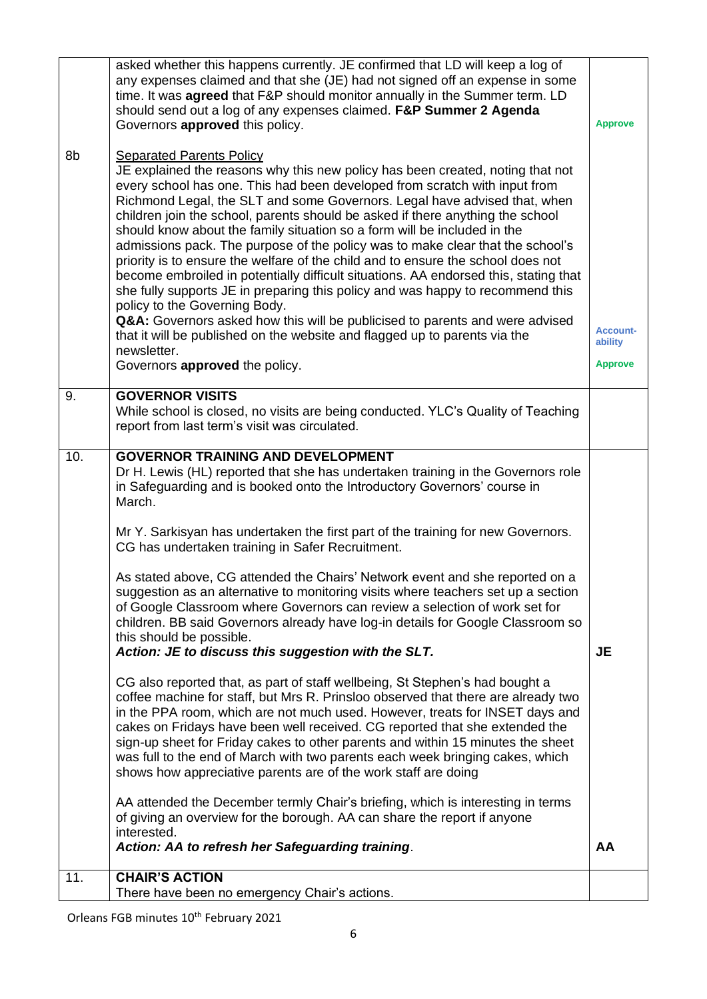|     | asked whether this happens currently. JE confirmed that LD will keep a log of<br>any expenses claimed and that she (JE) had not signed off an expense in some<br>time. It was <b>agreed</b> that F&P should monitor annually in the Summer term. LD<br>should send out a log of any expenses claimed. F&P Summer 2 Agenda<br>Governors approved this policy.                                                                                                                                                                                                                                                                                                                                                                                                                                                                                                                                                                                                                                                                                                                                                                                                                                                                                                                                                                                                                                                                                                                                                                                                                                    | <b>Approve</b>                               |
|-----|-------------------------------------------------------------------------------------------------------------------------------------------------------------------------------------------------------------------------------------------------------------------------------------------------------------------------------------------------------------------------------------------------------------------------------------------------------------------------------------------------------------------------------------------------------------------------------------------------------------------------------------------------------------------------------------------------------------------------------------------------------------------------------------------------------------------------------------------------------------------------------------------------------------------------------------------------------------------------------------------------------------------------------------------------------------------------------------------------------------------------------------------------------------------------------------------------------------------------------------------------------------------------------------------------------------------------------------------------------------------------------------------------------------------------------------------------------------------------------------------------------------------------------------------------------------------------------------------------|----------------------------------------------|
| 8b  | <b>Separated Parents Policy</b><br>JE explained the reasons why this new policy has been created, noting that not<br>every school has one. This had been developed from scratch with input from<br>Richmond Legal, the SLT and some Governors. Legal have advised that, when<br>children join the school, parents should be asked if there anything the school<br>should know about the family situation so a form will be included in the<br>admissions pack. The purpose of the policy was to make clear that the school's<br>priority is to ensure the welfare of the child and to ensure the school does not<br>become embroiled in potentially difficult situations. AA endorsed this, stating that<br>she fully supports JE in preparing this policy and was happy to recommend this<br>policy to the Governing Body.<br>Q&A: Governors asked how this will be publicised to parents and were advised<br>that it will be published on the website and flagged up to parents via the<br>newsletter.<br>Governors approved the policy.                                                                                                                                                                                                                                                                                                                                                                                                                                                                                                                                                      | <b>Account-</b><br>ability<br><b>Approve</b> |
| 9.  | <b>GOVERNOR VISITS</b><br>While school is closed, no visits are being conducted. YLC's Quality of Teaching<br>report from last term's visit was circulated.                                                                                                                                                                                                                                                                                                                                                                                                                                                                                                                                                                                                                                                                                                                                                                                                                                                                                                                                                                                                                                                                                                                                                                                                                                                                                                                                                                                                                                     |                                              |
| 10. | <b>GOVERNOR TRAINING AND DEVELOPMENT</b><br>Dr H. Lewis (HL) reported that she has undertaken training in the Governors role<br>in Safeguarding and is booked onto the Introductory Governors' course in<br>March.<br>Mr Y. Sarkisyan has undertaken the first part of the training for new Governors.<br>CG has undertaken training in Safer Recruitment.<br>As stated above, CG attended the Chairs' Network event and she reported on a<br>suggestion as an alternative to monitoring visits where teachers set up a section<br>of Google Classroom where Governors can review a selection of work set for<br>children. BB said Governors already have log-in details for Google Classroom so<br>this should be possible.<br>Action: JE to discuss this suggestion with the SLT.<br>CG also reported that, as part of staff wellbeing, St Stephen's had bought a<br>coffee machine for staff, but Mrs R. Prinsloo observed that there are already two<br>in the PPA room, which are not much used. However, treats for INSET days and<br>cakes on Fridays have been well received. CG reported that she extended the<br>sign-up sheet for Friday cakes to other parents and within 15 minutes the sheet<br>was full to the end of March with two parents each week bringing cakes, which<br>shows how appreciative parents are of the work staff are doing<br>AA attended the December termly Chair's briefing, which is interesting in terms<br>of giving an overview for the borough. AA can share the report if anyone<br>interested.<br>Action: AA to refresh her Safeguarding training. | <b>JE</b><br>AA                              |
| 11. | <b>CHAIR'S ACTION</b><br>There have been no emergency Chair's actions.                                                                                                                                                                                                                                                                                                                                                                                                                                                                                                                                                                                                                                                                                                                                                                                                                                                                                                                                                                                                                                                                                                                                                                                                                                                                                                                                                                                                                                                                                                                          |                                              |